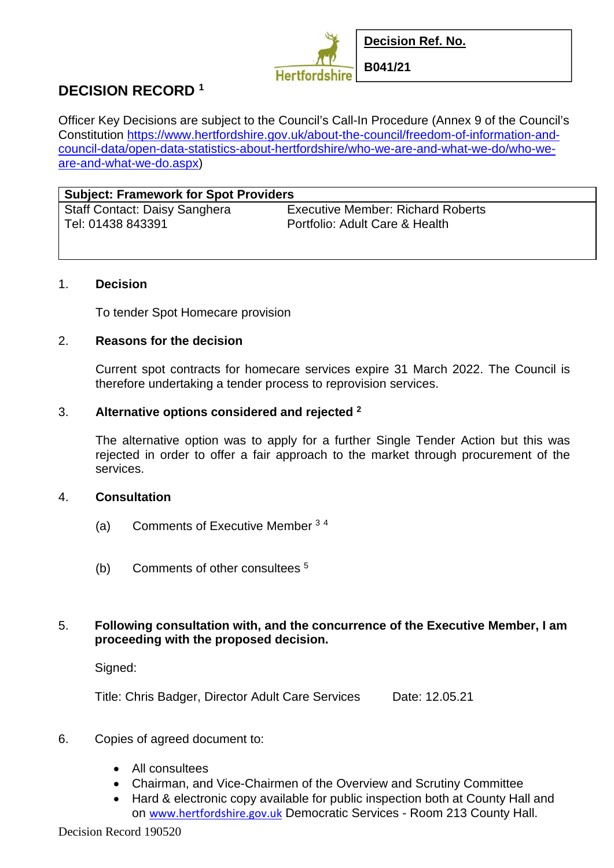

# **DECISION RECORD <sup>1</sup>**

Officer Key Decisions are subject to the Council's Call-In Procedure (Annex 9 of the Council's Constitution https://www.hertfordshire.gov.uk/about-the-council/freedom-of-information-andcouncil-data/open-data-statistics-about-hertfordshire/who-we-are-and-what-we-do/who-weare-and-what-we-do.aspx)

| <b>Subject: Framework for Spot Providers</b> |                                          |
|----------------------------------------------|------------------------------------------|
| <b>Staff Contact: Daisy Sanghera</b>         | <b>Executive Member: Richard Roberts</b> |
| Tel: 01438 843391                            | Portfolio: Adult Care & Health           |

### 1. **Decision**

To tender Spot Homecare provision

### 2. **Reasons for the decision**

Current spot contracts for homecare services expire 31 March 2022. The Council is therefore undertaking a tender process to reprovision services.

### 3. **Alternative options considered and rejected <sup>2</sup>**

The alternative option was to apply for a further Single Tender Action but this was rejected in order to offer a fair approach to the market through procurement of the services.

#### 4. **Consultation**

- (a) Comments of Executive Member <sup>3</sup> <sup>4</sup>
- (b) Comments of other consultees <sup>5</sup>

## 5. **Following consultation with, and the concurrence of the Executive Member, I am proceeding with the proposed decision.**

Signed:

Title: Chris Badger, Director Adult Care Services Date: 12.05.21

- 6. Copies of agreed document to:
	- All consultees
	- Chairman, and Vice-Chairmen of the Overview and Scrutiny Committee
	- Hard & electronic copy available for public inspection both at County Hall and on www.hertfordshire.gov.uk Democratic Services - Room 213 County Hall.